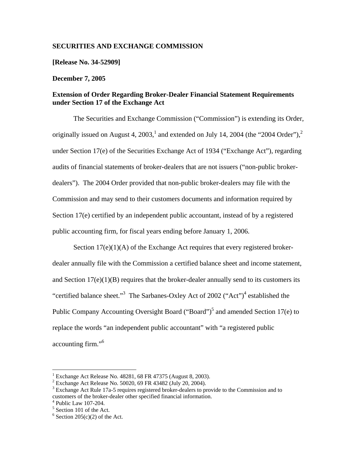## **SECURITIES AND EXCHANGE COMMISSION**

**[Release No. 34-52909]** 

## **December 7, 2005**

## **Extension of Order Regarding Broker-Dealer Financial Statement Requirements under Section 17 of the Exchange Act**

The Securities and Exchange Commission ("Commission") is extending its Order, originally issued on August 4, 2003,<sup>[1](#page-0-0)</sup> and extended on July 14, [2](#page-0-1)004 (the "2004 Order"),<sup>2</sup> under Section 17(e) of the Securities Exchange Act of 1934 ("Exchange Act"), regarding audits of financial statements of broker-dealers that are not issuers ("non-public brokerdealers"). The 2004 Order provided that non-public broker-dealers may file with the Commission and may send to their customers documents and information required by Section 17(e) certified by an independent public accountant, instead of by a registered public accounting firm, for fiscal years ending before January 1, 2006.

Section 17(e)(1)(A) of the Exchange Act requires that every registered brokerdealer annually file with the Commission a certified balance sheet and income statement, and Section  $17(e)(1)(B)$  requires that the broker-dealer annually send to its customers its "certified balance sheet."<sup>3</sup> The Sarbanes-Oxley Act of 2002 ("Act")<sup>[4](#page-0-3)</sup> established the Public Company Accounting Oversight Board ("Board")<sup>5</sup> and amended Section 17 $(e)$  to replace the words "an independent public accountant" with "a registered public accounting firm."<sup>[6](#page-0-5)</sup>

 $\overline{a}$ 

<span id="page-0-0"></span><sup>&</sup>lt;sup>1</sup> Exchange Act Release No. 48281, 68 FR 47375 (August 8, 2003).

<span id="page-0-1"></span><sup>&</sup>lt;sup>2</sup> Exchange Act Release No. 50020, 69 FR 43482 (July 20, 2004).

<span id="page-0-2"></span> $3$  Exchange Act Rule 17a-5 requires registered broker-dealers to provide to the Commission and to customers of the broker-dealer other specified financial information. 4

<span id="page-0-3"></span> $4$  Public Law 107-204.

<span id="page-0-4"></span><sup>&</sup>lt;sup>5</sup> Section 101 of the Act.

<span id="page-0-5"></span> $6$  Section 205(c)(2) of the Act.